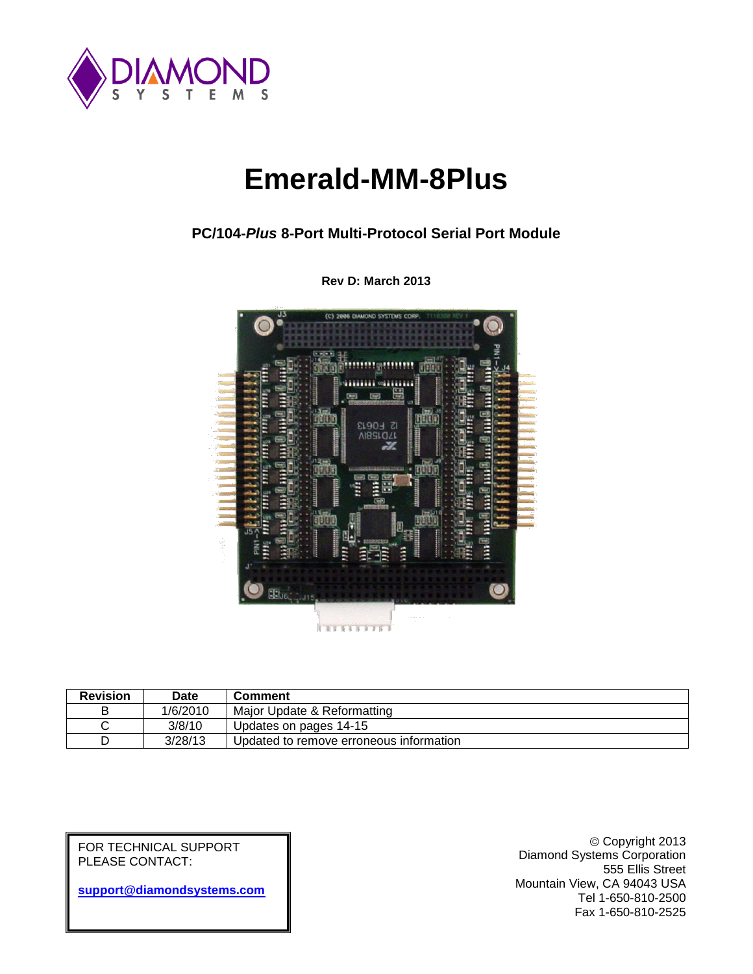

# **Emerald-MM-8Plus**

**PC/104-***Plus* **8-Port Multi-Protocol Serial Port Module**



**Rev D: March 2013**

| <b>Revision</b> | <b>Date</b> | Comment                                 |
|-----------------|-------------|-----------------------------------------|
| в               | 1/6/2010    | Major Update & Reformatting             |
| ັ               | 3/8/10      | Updates on pages 14-15                  |
|                 | 3/28/13     | Updated to remove erroneous information |

FOR TECHNICAL SUPPORT PLEASE CONTACT:

**[support@diamondsystems.com](mailto:support@diamondsystems.com)**

Copyright 2013 Diamond Systems Corporation 555 Ellis Street Mountain View, CA 94043 USA Tel 1-650-810-2500 Fax 1-650-810-2525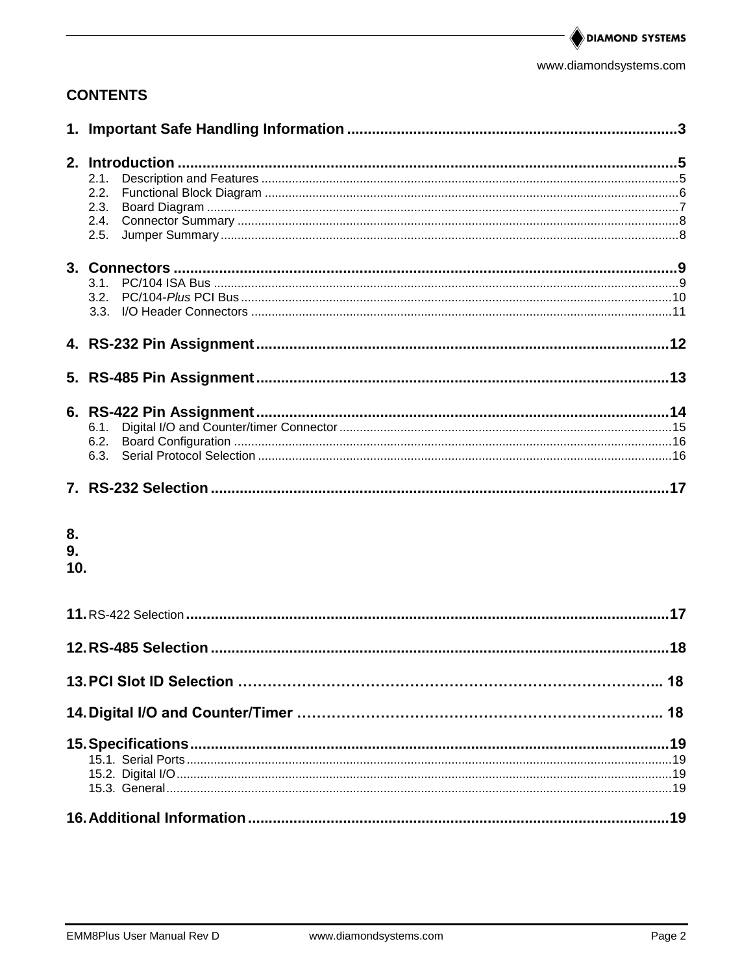www.diamondsystems.com

# **CONTENTS**

|     | 2.1. |  |
|-----|------|--|
|     | 2.2. |  |
|     | 2.3. |  |
|     | 2.4. |  |
|     | 2.5. |  |
|     |      |  |
|     |      |  |
|     |      |  |
|     |      |  |
|     |      |  |
|     |      |  |
|     |      |  |
|     |      |  |
|     |      |  |
|     | 6.1. |  |
|     | 6.2. |  |
|     | 6.3. |  |
|     |      |  |
|     |      |  |
|     |      |  |
| 8.  |      |  |
| 9.  |      |  |
| 10. |      |  |
|     |      |  |
|     |      |  |
|     |      |  |
|     |      |  |
|     |      |  |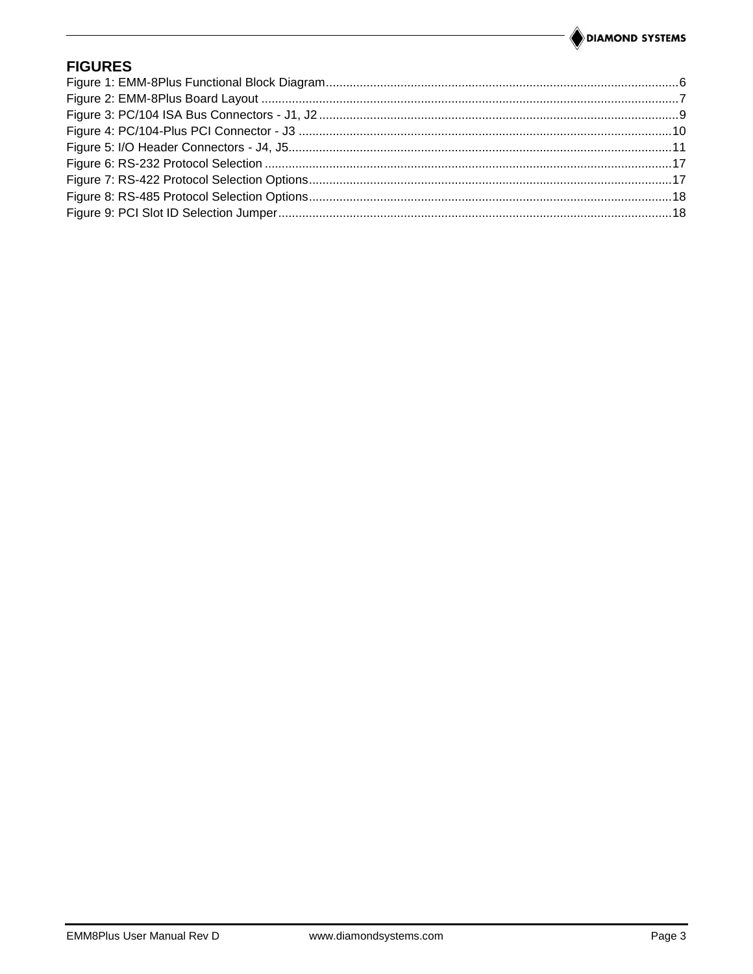# **FIGURES**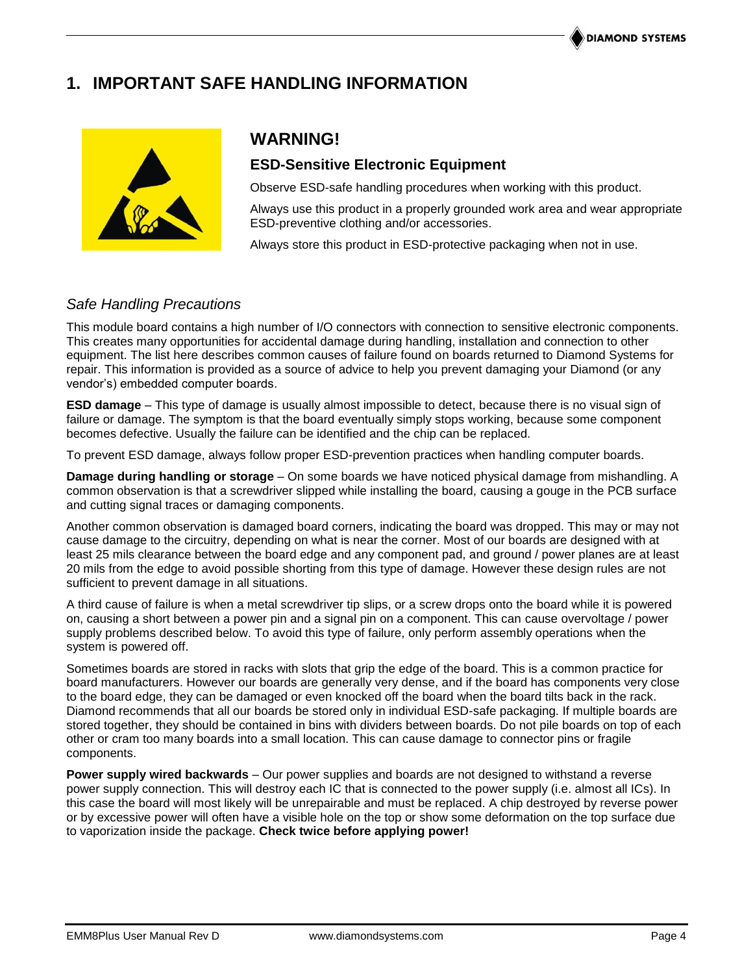# **1. IMPORTANT SAFE HANDLING INFORMATION**



# **WARNING!**

### **ESD-Sensitive Electronic Equipment**

Observe ESD-safe handling procedures when working with this product.

Always use this product in a properly grounded work area and wear appropriate ESD-preventive clothing and/or accessories.

Always store this product in ESD-protective packaging when not in use.

### *Safe Handling Precautions*

This module board contains a high number of I/O connectors with connection to sensitive electronic components. This creates many opportunities for accidental damage during handling, installation and connection to other equipment. The list here describes common causes of failure found on boards returned to Diamond Systems for repair. This information is provided as a source of advice to help you prevent damaging your Diamond (or any vendor's) embedded computer boards.

**ESD damage** – This type of damage is usually almost impossible to detect, because there is no visual sign of failure or damage. The symptom is that the board eventually simply stops working, because some component becomes defective. Usually the failure can be identified and the chip can be replaced.

To prevent ESD damage, always follow proper ESD-prevention practices when handling computer boards.

**Damage during handling or storage** – On some boards we have noticed physical damage from mishandling. A common observation is that a screwdriver slipped while installing the board, causing a gouge in the PCB surface and cutting signal traces or damaging components.

Another common observation is damaged board corners, indicating the board was dropped. This may or may not cause damage to the circuitry, depending on what is near the corner. Most of our boards are designed with at least 25 mils clearance between the board edge and any component pad, and ground / power planes are at least 20 mils from the edge to avoid possible shorting from this type of damage. However these design rules are not sufficient to prevent damage in all situations.

A third cause of failure is when a metal screwdriver tip slips, or a screw drops onto the board while it is powered on, causing a short between a power pin and a signal pin on a component. This can cause overvoltage / power supply problems described below. To avoid this type of failure, only perform assembly operations when the system is powered off.

Sometimes boards are stored in racks with slots that grip the edge of the board. This is a common practice for board manufacturers. However our boards are generally very dense, and if the board has components very close to the board edge, they can be damaged or even knocked off the board when the board tilts back in the rack. Diamond recommends that all our boards be stored only in individual ESD-safe packaging. If multiple boards are stored together, they should be contained in bins with dividers between boards. Do not pile boards on top of each other or cram too many boards into a small location. This can cause damage to connector pins or fragile components.

**Power supply wired backwards** – Our power supplies and boards are not designed to withstand a reverse power supply connection. This will destroy each IC that is connected to the power supply (i.e. almost all ICs). In this case the board will most likely will be unrepairable and must be replaced. A chip destroyed by reverse power or by excessive power will often have a visible hole on the top or show some deformation on the top surface due to vaporization inside the package. **Check twice before applying power!**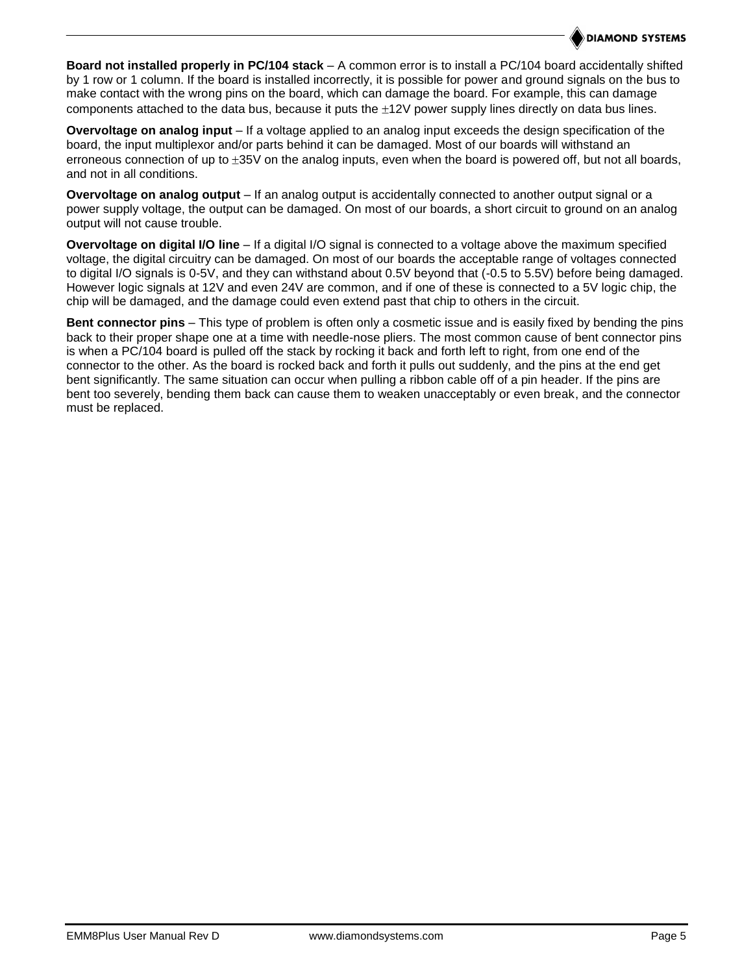**Board not installed properly in PC/104 stack** – A common error is to install a PC/104 board accidentally shifted by 1 row or 1 column. If the board is installed incorrectly, it is possible for power and ground signals on the bus to make contact with the wrong pins on the board, which can damage the board. For example, this can damage components attached to the data bus, because it puts the  $\pm 12V$  power supply lines directly on data bus lines.

**Overvoltage on analog input** – If a voltage applied to an analog input exceeds the design specification of the board, the input multiplexor and/or parts behind it can be damaged. Most of our boards will withstand an erroneous connection of up to  $\pm 35V$  on the analog inputs, even when the board is powered off, but not all boards, and not in all conditions.

**Overvoltage on analog output** – If an analog output is accidentally connected to another output signal or a power supply voltage, the output can be damaged. On most of our boards, a short circuit to ground on an analog output will not cause trouble.

**Overvoltage on digital I/O line** – If a digital I/O signal is connected to a voltage above the maximum specified voltage, the digital circuitry can be damaged. On most of our boards the acceptable range of voltages connected to digital I/O signals is 0-5V, and they can withstand about 0.5V beyond that (-0.5 to 5.5V) before being damaged. However logic signals at 12V and even 24V are common, and if one of these is connected to a 5V logic chip, the chip will be damaged, and the damage could even extend past that chip to others in the circuit.

**Bent connector pins** – This type of problem is often only a cosmetic issue and is easily fixed by bending the pins back to their proper shape one at a time with needle-nose pliers. The most common cause of bent connector pins is when a PC/104 board is pulled off the stack by rocking it back and forth left to right, from one end of the connector to the other. As the board is rocked back and forth it pulls out suddenly, and the pins at the end get bent significantly. The same situation can occur when pulling a ribbon cable off of a pin header. If the pins are bent too severely, bending them back can cause them to weaken unacceptably or even break, and the connector must be replaced.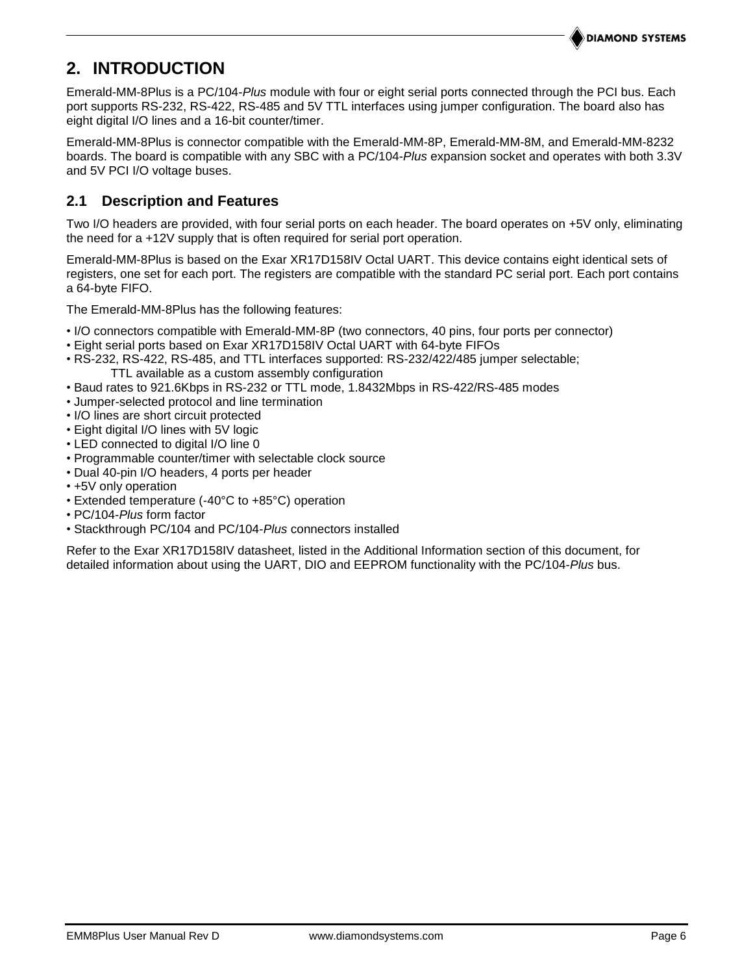#### **DIAMOND SYSTEMS**

# <span id="page-5-0"></span>**2. INTRODUCTION**

Emerald-MM-8Plus is a PC/104-*Plus* module with four or eight serial ports connected through the PCI bus. Each port supports RS-232, RS-422, RS-485 and 5V TTL interfaces using jumper configuration. The board also has eight digital I/O lines and a 16-bit counter/timer.

Emerald-MM-8Plus is connector compatible with the Emerald-MM-8P, Emerald-MM-8M, and Emerald-MM-8232 boards. The board is compatible with any SBC with a PC/104-*Plus* expansion socket and operates with both 3.3V and 5V PCI I/O voltage buses.

### <span id="page-5-1"></span>**2.1 Description and Features**

Two I/O headers are provided, with four serial ports on each header. The board operates on +5V only, eliminating the need for a +12V supply that is often required for serial port operation.

Emerald-MM-8Plus is based on the Exar XR17D158IV Octal UART. This device contains eight identical sets of registers, one set for each port. The registers are compatible with the standard PC serial port. Each port contains a 64-byte FIFO.

The Emerald-MM-8Plus has the following features:

- I/O connectors compatible with Emerald-MM-8P (two connectors, 40 pins, four ports per connector)
- Eight serial ports based on Exar XR17D158IV Octal UART with 64-byte FIFOs
- RS-232, RS-422, RS-485, and TTL interfaces supported: RS-232/422/485 jumper selectable;
	- TTL available as a custom assembly configuration
- Baud rates to 921.6Kbps in RS-232 or TTL mode, 1.8432Mbps in RS-422/RS-485 modes
- Jumper-selected protocol and line termination
- I/O lines are short circuit protected
- Eight digital I/O lines with 5V logic
- LED connected to digital I/O line 0
- Programmable counter/timer with selectable clock source
- Dual 40-pin I/O headers, 4 ports per header
- +5V only operation
- Extended temperature (-40°C to +85°C) operation
- PC/104-*Plus* form factor
- Stackthrough PC/104 and PC/104-*Plus* connectors installed

Refer to the Exar XR17D158IV datasheet, listed in the Additional Information section of this document, for detailed information about using the UART, DIO and EEPROM functionality with the PC/104-*Plus* bus.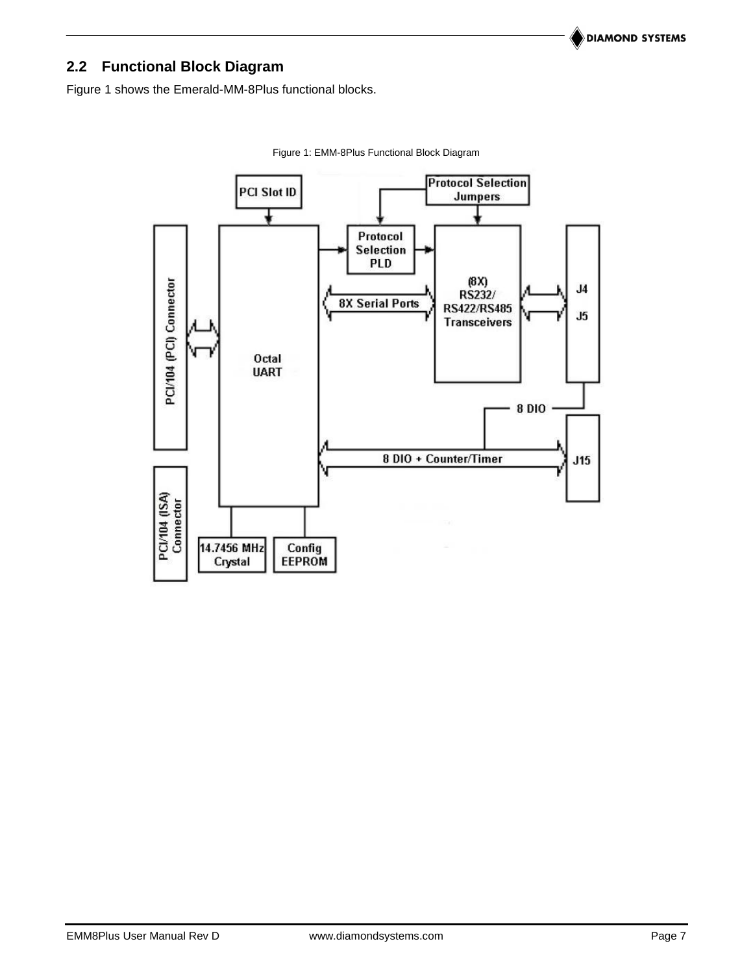# <span id="page-6-0"></span>**2.2 Functional Block Diagram**

<span id="page-6-1"></span>Figure 1 shows the Emerald-MM-8Plus functional blocks.



Figure 1: EMM-8Plus Functional Block Diagram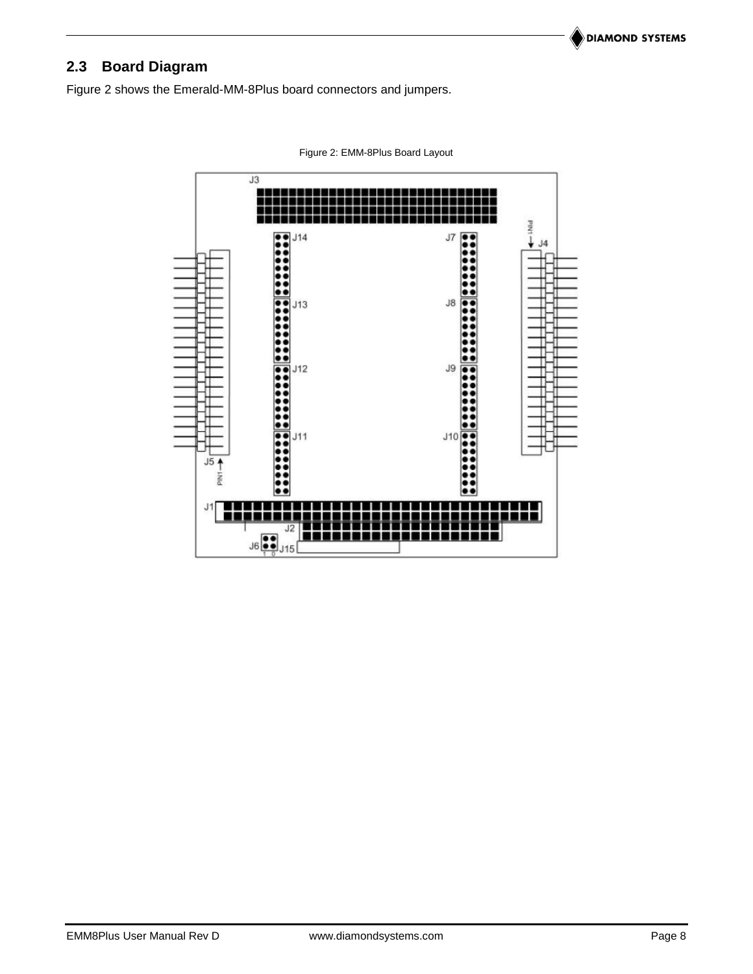# <span id="page-7-0"></span>**2.3 Board Diagram**

<span id="page-7-1"></span>Figure 2 shows the Emerald-MM-8Plus board connectors and jumpers.



Figure 2: EMM-8Plus Board Layout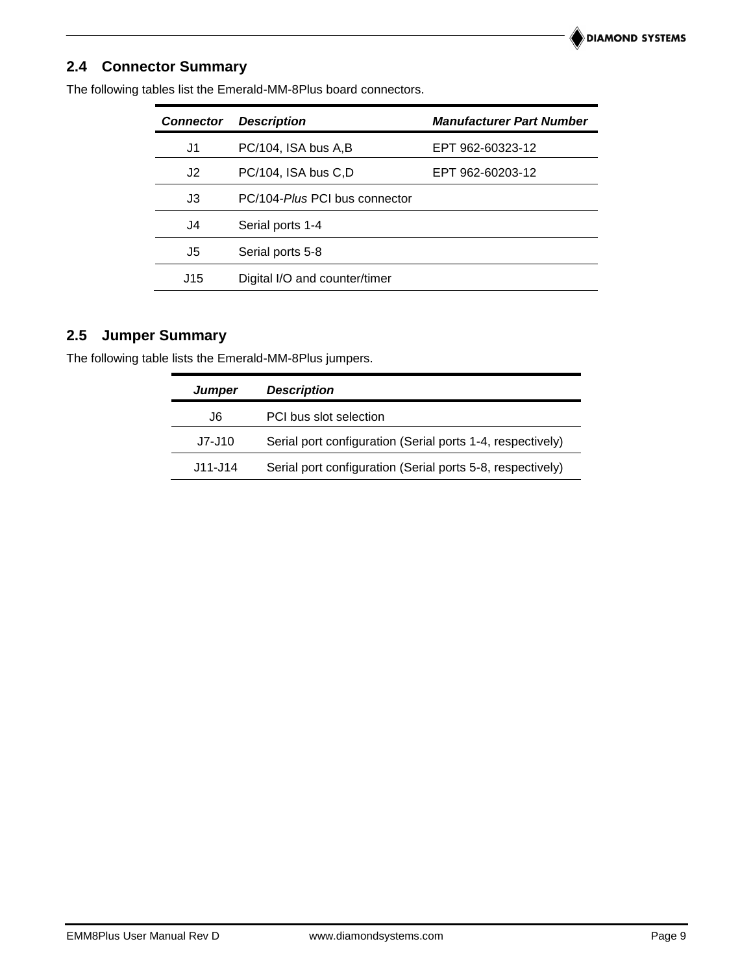### <span id="page-8-0"></span>**2.4 Connector Summary**

| <b>Connector</b> | <b>Description</b>            | <b>Manufacturer Part Number</b> |
|------------------|-------------------------------|---------------------------------|
| J1               | PC/104, ISA bus A,B           | EPT 962-60323-12                |
| J2               | PC/104, ISA bus C,D           | EPT 962-60203-12                |
| J3               | PC/104-Plus PCI bus connector |                                 |
| J4               | Serial ports 1-4              |                                 |
| J5               | Serial ports 5-8              |                                 |
| J15              | Digital I/O and counter/timer |                                 |
|                  |                               |                                 |

The following tables list the Emerald-MM-8Plus board connectors.

### <span id="page-8-1"></span>**2.5 Jumper Summary**

The following table lists the Emerald-MM-8Plus jumpers.

| <b>Jumper</b> | <b>Description</b>                                         |
|---------------|------------------------------------------------------------|
| J6            | PCI bus slot selection                                     |
| J7-J10        | Serial port configuration (Serial ports 1-4, respectively) |
| J11-J14       | Serial port configuration (Serial ports 5-8, respectively) |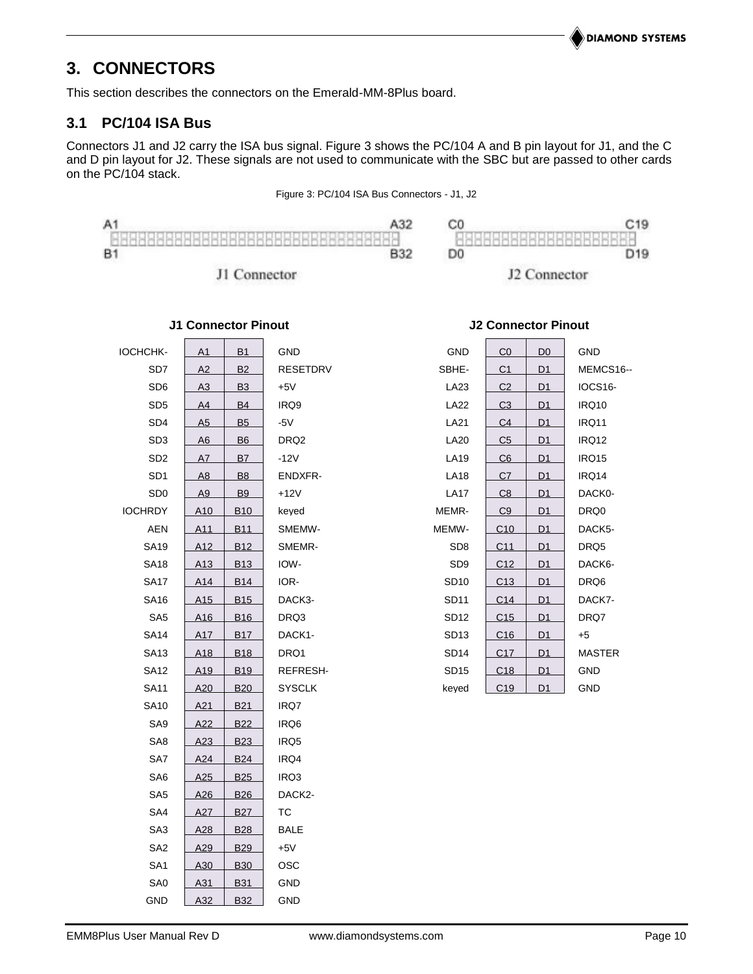# <span id="page-9-0"></span>**3. CONNECTORS**

This section describes the connectors on the Emerald-MM-8Plus board.

### <span id="page-9-1"></span>**3.1 PC/104 ISA Bus**

Connectors J1 and J2 carry the ISA bus signal. Figure 3 shows the PC/104 A and B pin layout for J1, and the C and D pin layout for J2. These signals are not used to communicate with the SBC but are passed to other cards on the PC/104 stack.

#### Figure 3: PC/104 ISA Bus Connectors - J1, J2

<span id="page-9-2"></span>

J2 Connector

**J2 Connector Pinout**

| IOCHCHK-        | A1              | B1         | GND              | GND              | CO              | D <sub>0</sub> | GND           |
|-----------------|-----------------|------------|------------------|------------------|-----------------|----------------|---------------|
| SD7             | A2              | <b>B2</b>  | <b>RESETDRV</b>  | SBHE-            | C <sub>1</sub>  | <u>D1</u>      | MEMCS16--     |
| SD <sub>6</sub> | A3              | <b>B3</b>  | $+5V$            | LA23             | C <sub>2</sub>  | D1             | IOCS16-       |
| SD <sub>5</sub> | A4              | <b>B4</b>  | IRQ9             | <b>LA22</b>      | C <sub>3</sub>  | D <sub>1</sub> | IRQ10         |
| SD <sub>4</sub> | A5              | <b>B5</b>  | $-5V$            | LA21             | C <sub>4</sub>  | <u>D1</u>      | IRQ11         |
| SD <sub>3</sub> | A6              | <b>B6</b>  | DRQ <sub>2</sub> | <b>LA20</b>      | C <sub>5</sub>  | D1             | IRQ12         |
| SD <sub>2</sub> | A7              | <b>B7</b>  | $-12V$           | <b>LA19</b>      | C6              | D1             | IRQ15         |
| SD <sub>1</sub> | A8              | <b>B</b> 8 | ENDXFR-          | <b>LA18</b>      | C <sub>7</sub>  | <u>D1</u>      | IRQ14         |
| SD <sub>0</sub> | A <sub>9</sub>  | <b>B9</b>  | $+12V$           | <b>LA17</b>      | C8              | D1             | DACK0-        |
| <b>IOCHRDY</b>  | A <sub>10</sub> | <b>B10</b> | keyed            | MEMR-            | C9              | D1             | DRQ0          |
| AEN             | A11             | <b>B11</b> | SMEMW-           | MEMW-            | C10             | <u>D1</u>      | DACK5-        |
| <b>SA19</b>     | A <sub>12</sub> | <b>B12</b> | SMEMR-           | SD <sub>8</sub>  | C11             | D1             | DRQ5          |
| <b>SA18</b>     | A13             | <b>B13</b> | IOW-             | SD <sub>9</sub>  | C12             | D <sub>1</sub> | DACK6-        |
| <b>SA17</b>     | A14             | <b>B14</b> | IOR-             | SD10             | C13             | D1             | DRQ6          |
| <b>SA16</b>     | A <sub>15</sub> | <b>B15</b> | DACK3-           | <b>SD11</b>      | C14             | D1             | DACK7-        |
| SA <sub>5</sub> | A16             | <b>B16</b> | DRQ3             | <b>SD12</b>      | C15             | D1             | DRQ7          |
| <b>SA14</b>     | A17             | <b>B17</b> | DACK1-           | SD <sub>13</sub> | C16             | <u>D1</u>      | $+5$          |
| <b>SA13</b>     | A <sub>18</sub> | <b>B18</b> | DRQ1             | <b>SD14</b>      | C17             | D1             | <b>MASTER</b> |
| <b>SA12</b>     | A <sub>19</sub> | <b>B19</b> | REFRESH-         | SD <sub>15</sub> | C18             | D1             | GND           |
| <b>SA11</b>     | A20             | <b>B20</b> | <b>SYSCLK</b>    | keyed            | C <sub>19</sub> | D1             | GND           |
| <b>SA10</b>     | A21             | <b>B21</b> | IRQ7             |                  |                 |                |               |
| SA9             | A22             | <b>B22</b> | IRQ6             |                  |                 |                |               |
| SA8             | A23             | <b>B23</b> | IRQ5             |                  |                 |                |               |
| SA7             | A24             | <b>B24</b> | IRQ4             |                  |                 |                |               |
| SA6             | A25             | <b>B25</b> | IRQ3             |                  |                 |                |               |
| SA <sub>5</sub> | A26             | <b>B26</b> | DACK2-           |                  |                 |                |               |
| SA4             | A27             | <b>B27</b> | <b>TC</b>        |                  |                 |                |               |
| SA <sub>3</sub> | A28             | <b>B28</b> | <b>BALE</b>      |                  |                 |                |               |
| SA <sub>2</sub> | A29             | <b>B29</b> | $+5V$            |                  |                 |                |               |
| SA <sub>1</sub> | A30             | <b>B30</b> | OSC              |                  |                 |                |               |
| SA0             | A31             | <b>B31</b> | GND              |                  |                 |                |               |
| <b>GND</b>      | A32             | <b>B32</b> | <b>GND</b>       |                  |                 |                |               |

### **J1 Connector Pinout**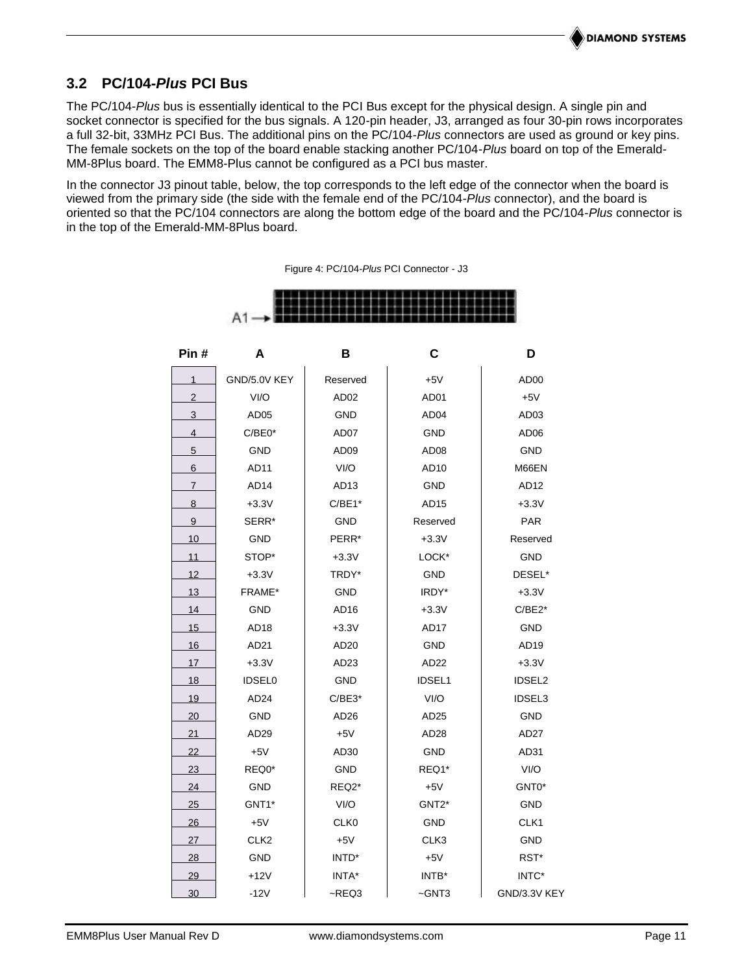### **3.2 PC/104-***Plus* **PCI Bus**

The PC/104-*Plus* bus is essentially identical to the PCI Bus except for the physical design. A single pin and socket connector is specified for the bus signals. A 120-pin header, J3, arranged as four 30-pin rows incorporates a full 32-bit, 33MHz PCI Bus. The additional pins on the PC/104-*Plus* connectors are used as ground or key pins. The female sockets on the top of the board enable stacking another PC/104-*Plus* board on top of the Emerald-MM-8Plus board. The EMM8-Plus cannot be configured as a PCI bus master.

<span id="page-10-0"></span>In the connector J3 pinout table, below, the top corresponds to the left edge of the connector when the board is viewed from the primary side (the side with the female end of the PC/104-*Plus* connector), and the board is oriented so that the PC/104 connectors are along the bottom edge of the board and the PC/104-*Plus* connector is in the top of the Emerald-MM-8Plus board.

> **Pin # A B C D** GND/5.0V KEY Reserved +5V +5V AD00 2 VI/O | AD02 | AD01 | +5V 3 AD05 | GND | AD04 | AD03 4 | C/BE0\* | AD07 | GND | AD06 5 GND | AD09 | AD08 | GND 6 AD11 VI/O AD10 M66EN 7 AD14 | AD13 | GND | AD12 8 +3.3V C/BE1\* AD15 +3.3V 9 SERR\* GND Reserved PAR 10 GND | PERR<sup>\*</sup> | +3.3V | Reserved 11 STOP\* +3.3V LOCK\* GND 12 +3.3V | TRDY\* | GND | DESEL\* 13 FRAME\* GND | IRDY\* | +3.3V 14 GND | AD16 | +3.3V | C/BE2\* 15 AD18 +3.3V AD17 GND 16 AD21 | AD20 | GND | AD19 17 +3.3V | AD23 | AD22 | +3.3V 18 IDSEL0 GND IDSEL1 IDSEL2 19 | AD24 | C/BE3\* | VI/O | IDSEL3 20 GND | AD26 | AD25 | GND 21 | AD29 | +5V | AD28 | AD27 22 +5V | AD30 | GND | AD31 23 REQ0\* | GND | REQ1\* | VI/O 24 GND REQ2\* +5V GNT0\* 25 GNT1\* | VI/O | GNT2\* | GND 26 +5V CLK0 GND CLK1 27 CLK2 | +5V | CLK3 | GND 28 GND | INTD\* | +5V | RST\* <u>29 |</u> +12V | INTA\* | INTB\* | INTC\* 30 -12V - REQ3 - GNT3 GND/3.3V KEY

Figure 4: PC/104-*Plus* PCI Connector - J3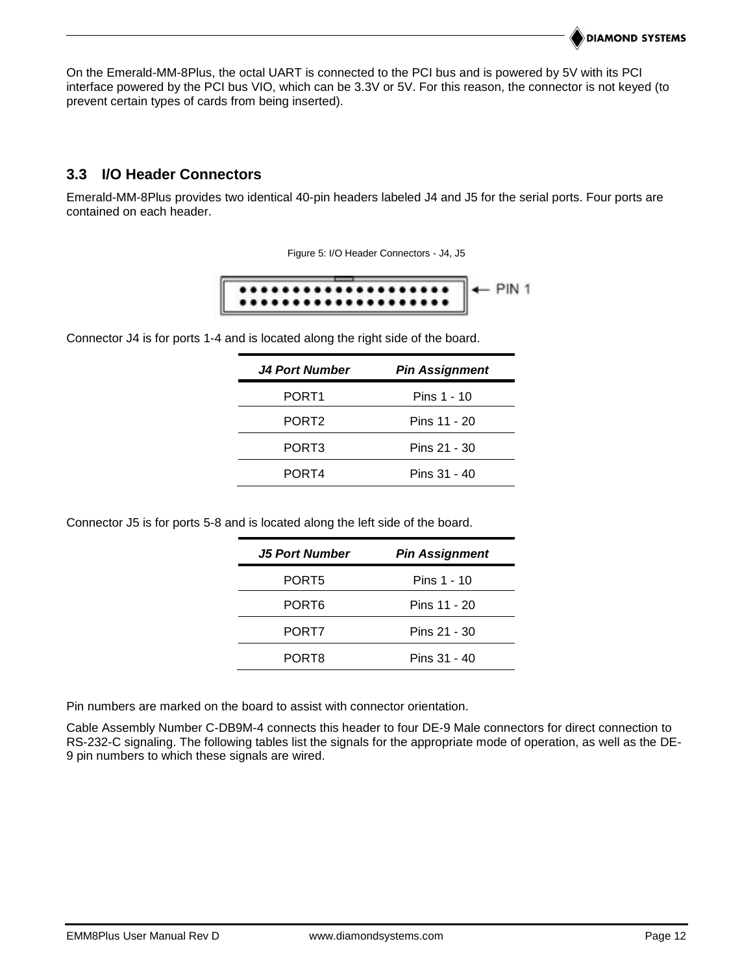On the Emerald-MM-8Plus, the octal UART is connected to the PCI bus and is powered by 5V with its PCI interface powered by the PCI bus VIO, which can be 3.3V or 5V. For this reason, the connector is not keyed (to prevent certain types of cards from being inserted).

### <span id="page-11-0"></span>**3.3 I/O Header Connectors**

<span id="page-11-1"></span>Emerald-MM-8Plus provides two identical 40-pin headers labeled J4 and J5 for the serial ports. Four ports are contained on each header.

Figure 5: I/O Header Connectors - J4, J5



Connector J4 is for ports 1-4 and is located along the right side of the board.

| <b>J4 Port Number</b> | <b>Pin Assignment</b> |
|-----------------------|-----------------------|
| PORT <sub>1</sub>     | Pins 1 - 10           |
| PORT <sub>2</sub>     | Pins 11 - 20          |
| PORT <sub>3</sub>     | Pins 21 - 30          |
| PORT4                 | Pins 31 - 40          |
|                       |                       |

Connector J5 is for ports 5-8 and is located along the left side of the board.

| <b>J5 Port Number</b> | <b>Pin Assignment</b> |
|-----------------------|-----------------------|
| PORT <sub>5</sub>     | Pins 1 - 10           |
| PORT <sub>6</sub>     | Pins 11 - 20          |
| PORT7                 | Pins 21 - 30          |
| PORT8                 | Pins 31 - 40          |

Pin numbers are marked on the board to assist with connector orientation.

Cable Assembly Number C-DB9M-4 connects this header to four DE-9 Male connectors for direct connection to RS-232-C signaling. The following tables list the signals for the appropriate mode of operation, as well as the DE-9 pin numbers to which these signals are wired.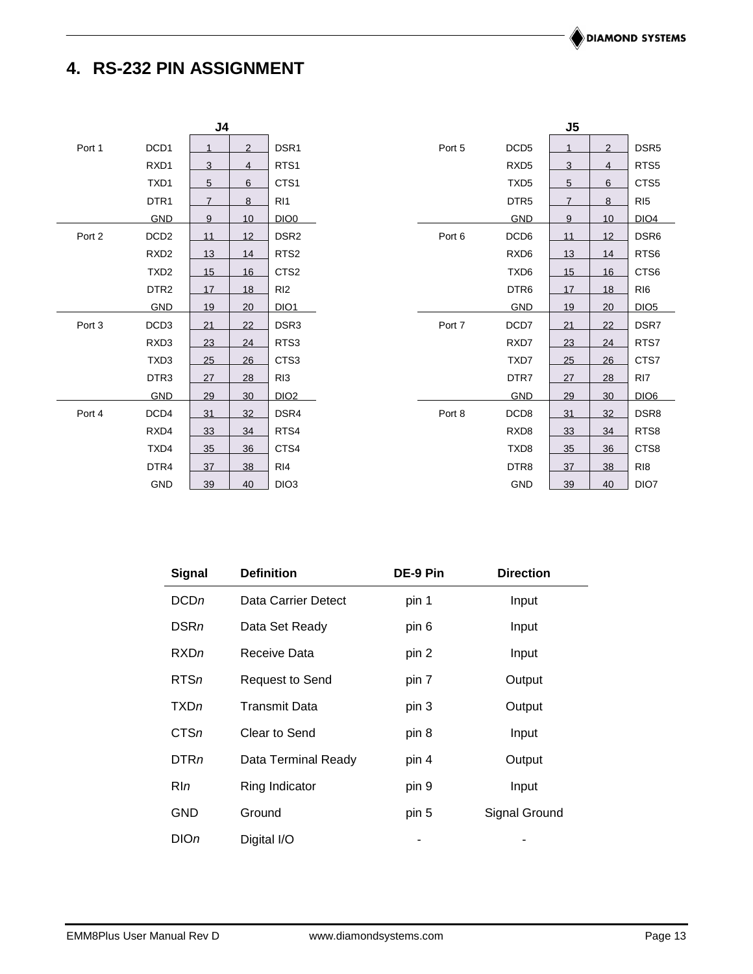# <span id="page-12-0"></span>**4. RS-232 PIN ASSIGNMENT**

|        |                  | J <sub>4</sub> |                 |                  |        |                  | J <sub>5</sub> |                |                  |
|--------|------------------|----------------|-----------------|------------------|--------|------------------|----------------|----------------|------------------|
| Port 1 | DCD1             |                | $\overline{2}$  | DSR1             | Port 5 | DCD <sub>5</sub> | 1              | $\overline{2}$ | DSR <sub>5</sub> |
|        | RXD1             | 3              | $\overline{4}$  | RTS1             |        | RXD <sub>5</sub> | 3              | $\overline{4}$ | RTS <sub>5</sub> |
|        | TXD1             | 5              | 6               | CTS1             |        | TXD <sub>5</sub> | 5              | 6              | CTS5             |
|        | DTR <sub>1</sub> | $\overline{7}$ | 8               | R <sub>11</sub>  |        | DTR <sub>5</sub> | $\overline{7}$ | 8              | RI <sub>5</sub>  |
|        | GND              | 9              | 10              | DIO <sub>0</sub> |        | <b>GND</b>       | 9              | 10             | DIO4             |
| Port 2 | DCD <sub>2</sub> | 11             | 12 <sup>2</sup> | DSR <sub>2</sub> | Port 6 | DCD <sub>6</sub> | 11             | 12             | DSR6             |
|        | RXD <sub>2</sub> | 13             | 14              | RTS <sub>2</sub> |        | RXD <sub>6</sub> | 13             | 14             | RTS6             |
|        | TXD <sub>2</sub> | 15             | 16              | CTS <sub>2</sub> |        | TXD6             | 15             | 16             | CTS6             |
|        | DTR <sub>2</sub> | 17             | 18              | RI <sub>2</sub>  |        | DTR <sub>6</sub> | 17             | 18             | RI <sub>6</sub>  |
|        | <b>GND</b>       | 19             | 20              | DIO <sub>1</sub> |        | <b>GND</b>       | 19             | 20             | DIO5             |
| Port 3 | DCD <sub>3</sub> | 21             | 22              | DSR <sub>3</sub> | Port 7 | DCD7             | 21             | 22             | DSR7             |
|        | RXD3             | 23             | 24              | RTS3             |        | RXD7             | 23             | 24             | RTS7             |
|        | TXD3             | 25             | 26              | CTS <sub>3</sub> |        | TXD7             | 25             | 26             | CTS7             |
|        | DTR3             | 27             | 28              | RI <sub>3</sub>  |        | DTR7             | 27             | 28             | RI <sub>7</sub>  |
|        | <b>GND</b>       | 29             | 30              | DIO <sub>2</sub> |        | <b>GND</b>       | 29             | 30             | DIO <sub>6</sub> |
| Port 4 | DCD4             | 31             | 32              | DSR4             | Port 8 | DCD8             | 31             | 32             | DSR8             |
|        | RXD4             | 33             | 34              | RTS4             |        | RXD8             | 33             | 34             | RTS8             |
|        | TXD4             | 35             | 36              | CTS4             |        | TXD8             | 35             | 36             | CTS8             |
|        | DTR4             | 37             | 38              | RI4              |        | DTR8             | 37             | 38             | R <sub>18</sub>  |
|        | GND              | 39             | 40              | DIO <sub>3</sub> |        | GND              | 39             | 40             | DIO7             |

| <b>Signal</b> | <b>Definition</b>      | DE-9 Pin | <b>Direction</b> |  |
|---------------|------------------------|----------|------------------|--|
| DCDn          | Data Carrier Detect    | pin 1    | Input            |  |
| <b>DSRn</b>   | Data Set Ready         | pin 6    | Input            |  |
| RXDn          | Receive Data           | pin 2    | Input            |  |
| RTSn          | <b>Request to Send</b> | pin 7    | Output           |  |
| <b>TXDn</b>   | Transmit Data          | pin 3    | Output           |  |
| CTSn          | Clear to Send          | pin 8    | Input            |  |
| DTRn          | Data Terminal Ready    | pin 4    | Output           |  |
| RIn           | Ring Indicator         | pin 9    | Input            |  |
| GND           | Ground                 | pin 5    | Signal Ground    |  |
| $D$ IOn       | Digital I/O            |          |                  |  |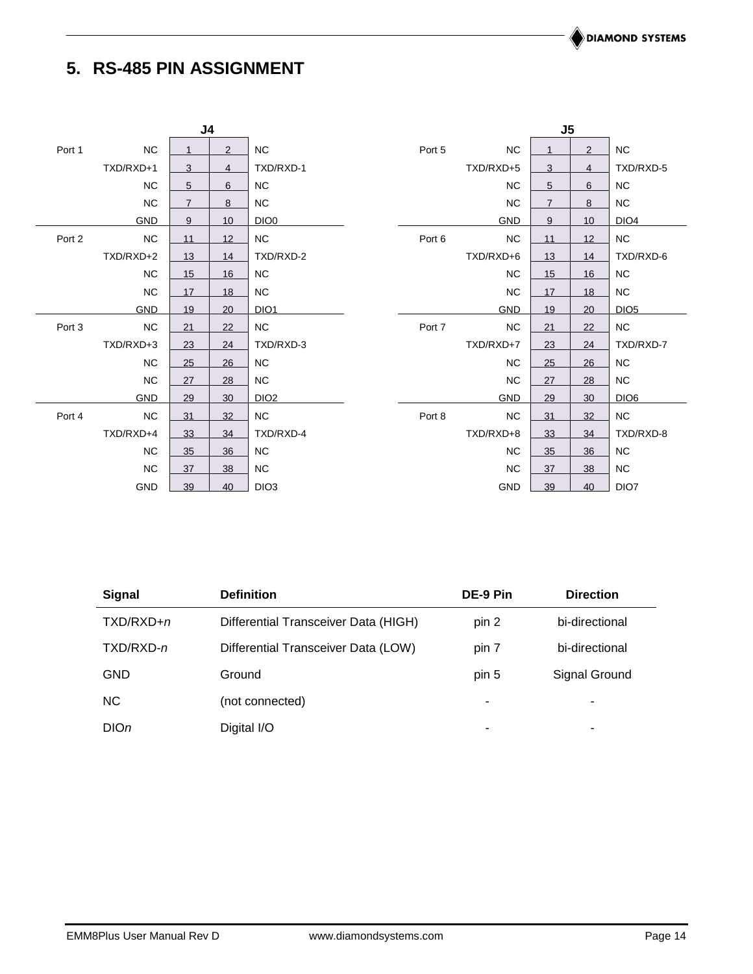# <span id="page-13-0"></span>**5. RS-485 PIN ASSIGNMENT**

| J <sub>4</sub> |            |                |                |                  |        |            | J <sub>5</sub> |                 |                  |
|----------------|------------|----------------|----------------|------------------|--------|------------|----------------|-----------------|------------------|
| Port 1         | NC         |                | $\overline{2}$ | <b>NC</b>        | Port 5 | NC         |                | 2               | NC               |
|                | TXD/RXD+1  | 3              | $\overline{4}$ | TXD/RXD-1        |        | TXD/RXD+5  | 3              | 4               | TXD/RXD-5        |
|                | <b>NC</b>  | 5              | 6              | <b>NC</b>        |        | <b>NC</b>  | 5              | 6               | <b>NC</b>        |
|                | NC         | $\overline{7}$ | 8              | NC               |        | <b>NC</b>  | $\overline{7}$ | 8               | <b>NC</b>        |
|                | <b>GND</b> | 9              | 10             | DIO <sub>0</sub> |        | <b>GND</b> | 9              | 10 <sup>1</sup> | DIO <sub>4</sub> |
| Port 2         | <b>NC</b>  | 11             | 12             | ${\sf NC}$       | Port 6 | <b>NC</b>  | 11             | 12              | <b>NC</b>        |
|                | TXD/RXD+2  | 13             | 14             | TXD/RXD-2        |        | TXD/RXD+6  | 13             | 14              | TXD/RXD-6        |
|                | <b>NC</b>  | 15             | 16             | NC               |        | <b>NC</b>  | 15             | 16              | <b>NC</b>        |
|                | <b>NC</b>  | 17             | 18             | <b>NC</b>        |        | <b>NC</b>  | 17             | 18              | <b>NC</b>        |
|                | <b>GND</b> | 19             | 20             | DIO <sub>1</sub> |        | <b>GND</b> | 19             | 20              | DIO <sub>5</sub> |
| Port 3         | <b>NC</b>  | 21             | 22             | NC               | Port 7 | NC         | 21             | 22              | NC               |
|                | TXD/RXD+3  | 23             | 24             | TXD/RXD-3        |        | TXD/RXD+7  | 23             | 24              | TXD/RXD-7        |
|                | <b>NC</b>  | 25             | 26             | NC               |        | <b>NC</b>  | 25             | 26              | <b>NC</b>        |
|                | <b>NC</b>  | 27             | 28             | <b>NC</b>        |        | <b>NC</b>  | 27             | 28              | <b>NC</b>        |
|                | <b>GND</b> | 29             | 30             | DIO <sub>2</sub> |        | <b>GND</b> | 29             | 30              | DIO <sub>6</sub> |
| Port 4         | <b>NC</b>  | 31             | 32             | <b>NC</b>        | Port 8 | <b>NC</b>  | 31             | 32              | <b>NC</b>        |
|                | TXD/RXD+4  | 33             | 34             | TXD/RXD-4        |        | TXD/RXD+8  | 33             | 34              | TXD/RXD-8        |
|                | <b>NC</b>  | 35             | 36             | NC               |        | <b>NC</b>  | 35             | 36              | <b>NC</b>        |
|                | <b>NC</b>  | 37             | 38             | <b>NC</b>        |        | NC         | 37             | 38              | <b>NC</b>        |
|                | GND        | 39             | 40             | DIO <sub>3</sub> |        | <b>GND</b> | 39             | 40              | DIO7             |

| <b>Signal</b> | <b>Definition</b>                    | DE-9 Pin | <b>Direction</b> |  |
|---------------|--------------------------------------|----------|------------------|--|
| $TXD/RXD + n$ | Differential Transceiver Data (HIGH) | pin 2    | bi-directional   |  |
| TXD/RXD-n     | Differential Transceiver Data (LOW)  | pin 7    | bi-directional   |  |
| <b>GND</b>    | Ground                               | pin 5    | Signal Ground    |  |
| NC.           | (not connected)                      | ٠        |                  |  |
| DIOn          | Digital I/O                          | ۰        | -                |  |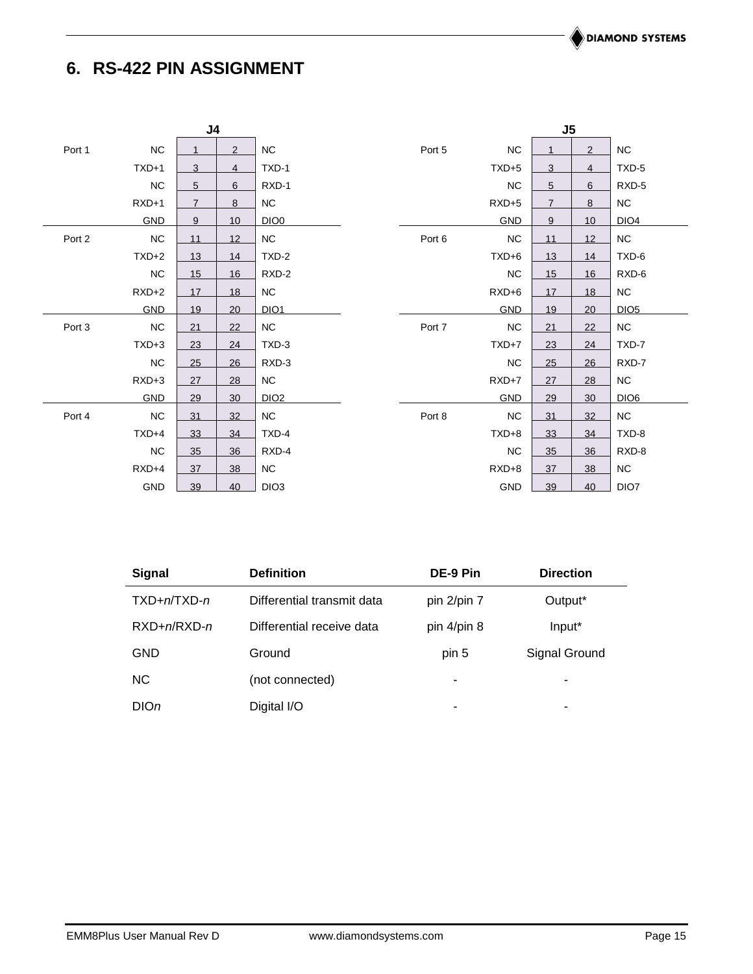# <span id="page-14-0"></span>**6. RS-422 PIN ASSIGNMENT**

|        |            | J <sub>4</sub> |    |                  |        |            | J <sub>5</sub> |    |                  |
|--------|------------|----------------|----|------------------|--------|------------|----------------|----|------------------|
| Port 1 | NC         |                | 2  | <b>NC</b>        | Port 5 | <b>NC</b>  |                | 2  | ${\sf NC}$       |
|        | $TXD+1$    | 3              | 4  | TXD-1            |        | $TXD+5$    | 3              | 4  | TXD-5            |
|        | <b>NC</b>  | 5              | 6  | RXD-1            |        | <b>NC</b>  | 5              | 6  | RXD-5            |
|        | $RXD+1$    | $\overline{7}$ | 8  | NC               |        | $RXD+5$    | $\overline{7}$ | 8  | NC               |
|        | <b>GND</b> | 9              | 10 | DIO <sub>0</sub> |        | <b>GND</b> | 9              | 10 | DIO <sub>4</sub> |
| Port 2 | <b>NC</b>  | 11             | 12 | NC               | Port 6 | <b>NC</b>  | 11             | 12 | <b>NC</b>        |
|        | $TXD+2$    | 13             | 14 | TXD-2            |        | $TXD+6$    | 13             | 14 | TXD-6            |
|        | <b>NC</b>  | 15             | 16 | RXD-2            |        | <b>NC</b>  | 15             | 16 | RXD-6            |
|        | $RXD+2$    | 17             | 18 | <b>NC</b>        |        | $RXD+6$    | 17             | 18 | ${\sf NC}$       |
|        | <b>GND</b> | 19             | 20 | <b>DIO1</b>      |        | <b>GND</b> | 19             | 20 | DIOS             |
| Port 3 | <b>NC</b>  | 21             | 22 | <b>NC</b>        | Port 7 | <b>NC</b>  | 21             | 22 | ${\sf NC}$       |
|        | $TXD+3$    | 23             | 24 | TXD-3            |        | $TXD+7$    | 23             | 24 | TXD-7            |
|        | <b>NC</b>  | 25             | 26 | RXD-3            |        | <b>NC</b>  | 25             | 26 | RXD-7            |
|        | $RXD+3$    | 27             | 28 | NC               |        | RXD+7      | 27             | 28 | NC               |
|        | <b>GND</b> | 29             | 30 | DIO <sub>2</sub> |        | <b>GND</b> | 29             | 30 | DIO <sub>6</sub> |
| Port 4 | <b>NC</b>  | 31             | 32 | <b>NC</b>        | Port 8 | <b>NC</b>  | 31             | 32 | <b>NC</b>        |
|        | $TXD+4$    | 33             | 34 | TXD-4            |        | $TXD+8$    | 33             | 34 | TXD-8            |
|        | <b>NC</b>  | 35             | 36 | RXD-4            |        | <b>NC</b>  | 35             | 36 | RXD-8            |
|        | $RXD+4$    | 37             | 38 | $NC$             |        | $RXD+8$    | 37             | 38 | <b>NC</b>        |
|        | GND        | 39             | 40 | DIO <sub>3</sub> |        | GND        | 39             | 40 | DIO7             |

| Signal           | <b>Definition</b>          | DE-9 Pin    | <b>Direction</b> |
|------------------|----------------------------|-------------|------------------|
| $TXD+n/TXD-n$    | Differential transmit data | pin 2/pin 7 | Output*          |
| $RXD+n/RXD-n$    | Differential receive data  | pin 4/pin 8 | Input*           |
| <b>GND</b>       | Ground                     | pin 5       | Signal Ground    |
| <b>NC</b>        | (not connected)            | ۰           | ۰                |
| DIO <sub>n</sub> | Digital I/O                | -           | -                |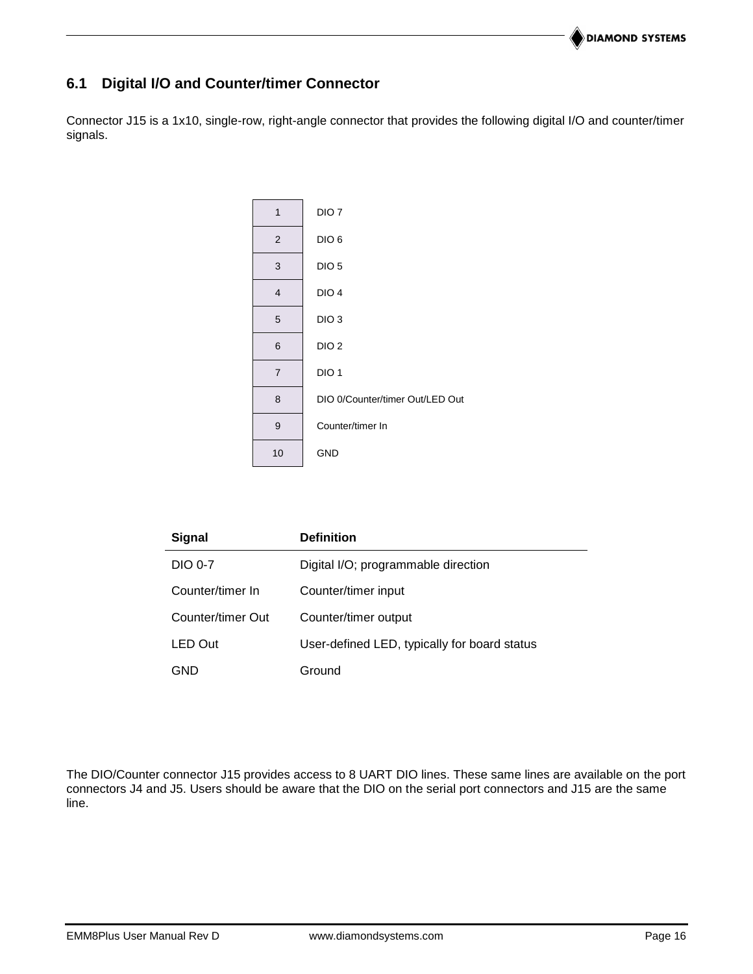# **6.1 Digital I/O and Counter/timer Connector**

Connector J15 is a 1x10, single-row, right-angle connector that provides the following digital I/O and counter/timer signals.



| <b>Signal</b>     | <b>Definition</b>                            |
|-------------------|----------------------------------------------|
| DIO 0-7           | Digital I/O; programmable direction          |
| Counter/timer In  | Counter/timer input                          |
| Counter/timer Out | Counter/timer output                         |
| LED Out           | User-defined LED, typically for board status |
| GND               | Ground                                       |

The DIO/Counter connector J15 provides access to 8 UART DIO lines. These same lines are available on the port connectors J4 and J5. Users should be aware that the DIO on the serial port connectors and J15 are the same line.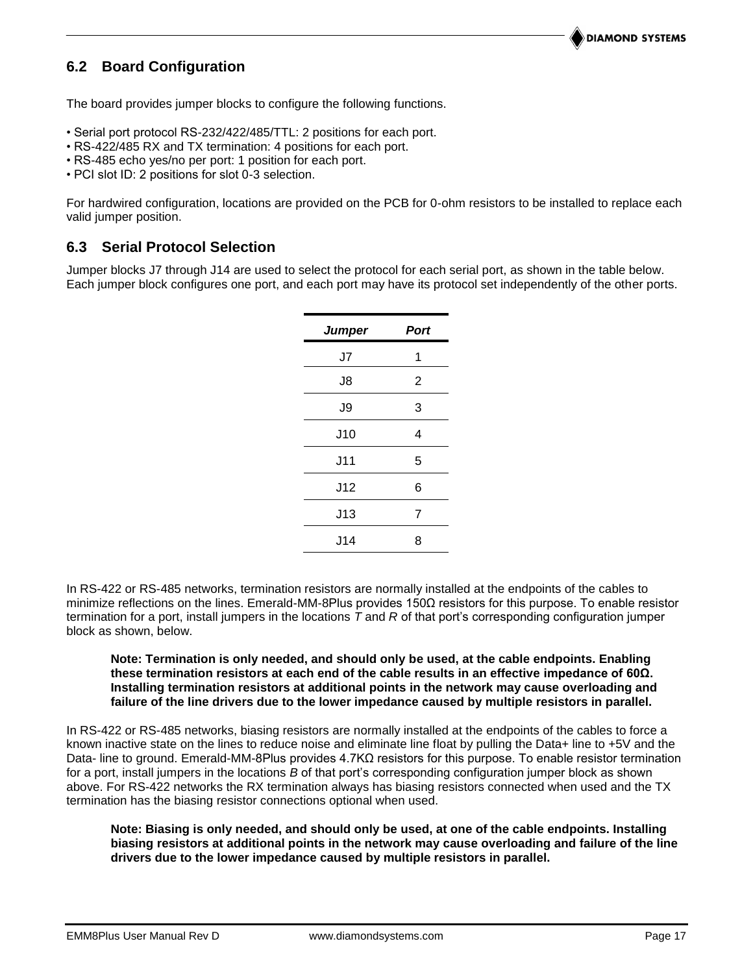### <span id="page-16-0"></span>**6.2 Board Configuration**

The board provides jumper blocks to configure the following functions.

- Serial port protocol RS-232/422/485/TTL: 2 positions for each port.
- RS-422/485 RX and TX termination: 4 positions for each port.
- RS-485 echo yes/no per port: 1 position for each port.
- PCI slot ID: 2 positions for slot 0-3 selection.

For hardwired configuration, locations are provided on the PCB for 0-ohm resistors to be installed to replace each valid jumper position.

#### <span id="page-16-1"></span>**6.3 Serial Protocol Selection**

Jumper blocks J7 through J14 are used to select the protocol for each serial port, as shown in the table below. Each jumper block configures one port, and each port may have its protocol set independently of the other ports.

| <b>Port</b>    |
|----------------|
| 1              |
| $\overline{2}$ |
| 3              |
| 4              |
| 5              |
| 6              |
| 7              |
| 8              |
|                |

In RS-422 or RS-485 networks, termination resistors are normally installed at the endpoints of the cables to minimize reflections on the lines. Emerald-MM-8Plus provides 150Ω resistors for this purpose. To enable resistor termination for a port, install jumpers in the locations *T* and *R* of that port's corresponding configuration jumper block as shown, below.

#### **Note: Termination is only needed, and should only be used, at the cable endpoints. Enabling these termination resistors at each end of the cable results in an effective impedance of 60Ω. Installing termination resistors at additional points in the network may cause overloading and failure of the line drivers due to the lower impedance caused by multiple resistors in parallel.**

In RS-422 or RS-485 networks, biasing resistors are normally installed at the endpoints of the cables to force a known inactive state on the lines to reduce noise and eliminate line float by pulling the Data+ line to +5V and the Data- line to ground. Emerald-MM-8Plus provides 4.7KΩ resistors for this purpose. To enable resistor termination for a port, install jumpers in the locations *B* of that port's corresponding configuration jumper block as shown above. For RS-422 networks the RX termination always has biasing resistors connected when used and the TX termination has the biasing resistor connections optional when used.

#### **Note: Biasing is only needed, and should only be used, at one of the cable endpoints. Installing biasing resistors at additional points in the network may cause overloading and failure of the line drivers due to the lower impedance caused by multiple resistors in parallel.**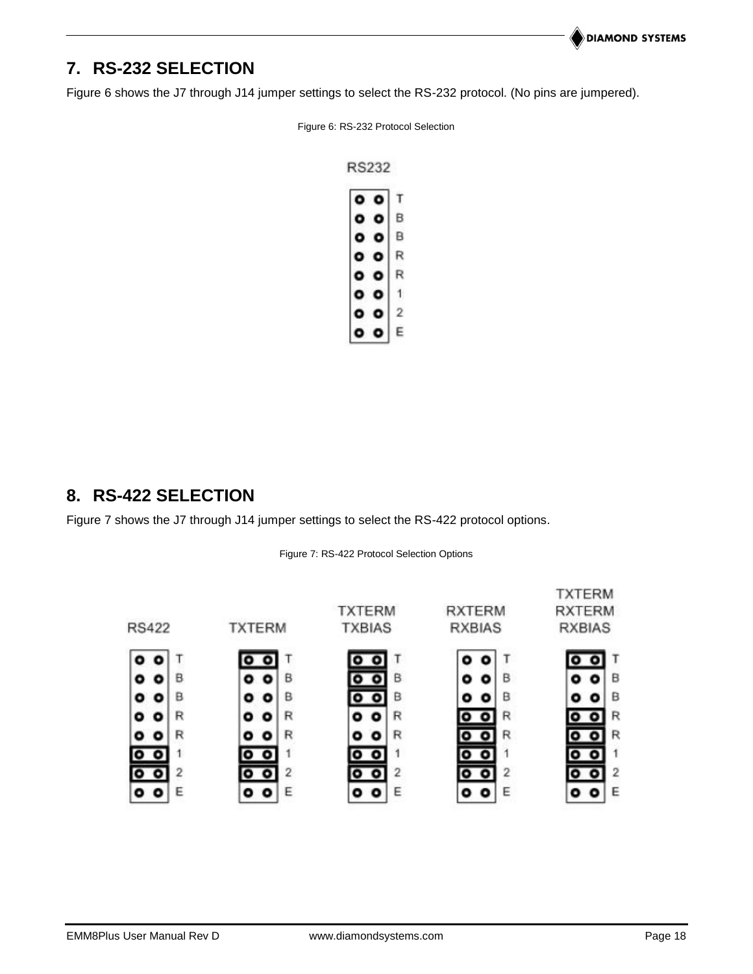# **7. RS-232 SELECTION**

<span id="page-17-1"></span>Figure 6 shows the J7 through J14 jumper settings to select the RS-232 protocol. (No pins are jumpered).

Figure 6: RS-232 Protocol Selection

**RS232** 

| ۰ | p | т |
|---|---|---|
| О | с |   |
| ٥ | О | B |
|   |   | R |
|   |   | R |
|   |   | E |
|   |   |   |
|   |   | É |

# <span id="page-17-0"></span>**8. RS-422 SELECTION**

<span id="page-17-2"></span>Figure 7 shows the J7 through J14 jumper settings to select the RS-422 protocol options.

Figure 7: RS-422 Protocol Selection Options

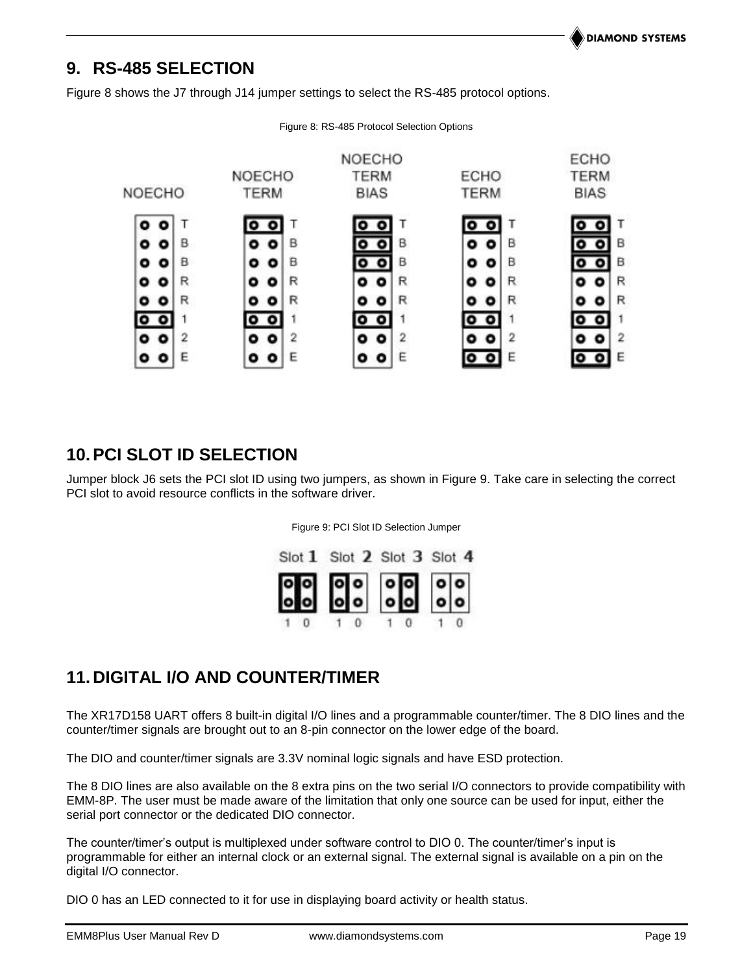# <span id="page-18-0"></span>**9. RS-485 SELECTION**

<span id="page-18-1"></span>Figure 8 shows the J7 through J14 jumper settings to select the RS-485 protocol options.



Figure 8: RS-485 Protocol Selection Options

# **10.PCI SLOT ID SELECTION**

<span id="page-18-2"></span>Jumper block J6 sets the PCI slot ID using two jumpers, as shown in Figure 9. Take care in selecting the correct PCI slot to avoid resource conflicts in the software driver.

Figure 9: PCI Slot ID Selection Jumper



# **11. DIGITAL I/O AND COUNTER/TIMER**

The XR17D158 UART offers 8 built-in digital I/O lines and a programmable counter/timer. The 8 DIO lines and the counter/timer signals are brought out to an 8-pin connector on the lower edge of the board.

The DIO and counter/timer signals are 3.3V nominal logic signals and have ESD protection.

The 8 DIO lines are also available on the 8 extra pins on the two serial I/O connectors to provide compatibility with EMM-8P. The user must be made aware of the limitation that only one source can be used for input, either the serial port connector or the dedicated DIO connector.

The counter/timer's output is multiplexed under software control to DIO 0. The counter/timer's input is programmable for either an internal clock or an external signal. The external signal is available on a pin on the digital I/O connector.

DIO 0 has an LED connected to it for use in displaying board activity or health status.